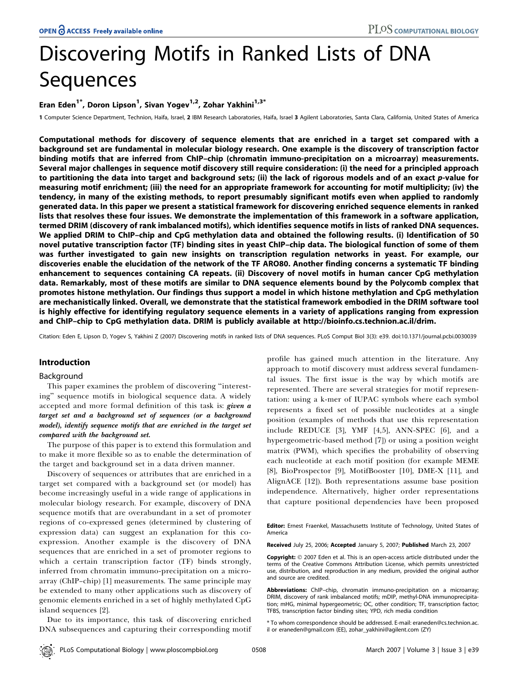# Discovering Motifs in Ranked Lists of DNA **Sequences**

Eran Eden<sup>1\*</sup>, Doron Lipson<sup>1</sup>, Sivan Yogev<sup>1,2</sup>, Zohar Yakhini<sup>1,3\*</sup>

1 Computer Science Department, Technion, Haifa, Israel, 2 IBM Research Laboratories, Haifa, Israel 3 Agilent Laboratories, Santa Clara, California, United States of America

Computational methods for discovery of sequence elements that are enriched in a target set compared with a background set are fundamental in molecular biology research. One example is the discovery of transcription factor binding motifs that are inferred from ChIP–chip (chromatin immuno-precipitation on a microarray) measurements. Several major challenges in sequence motif discovery still require consideration: (i) the need for a principled approach to partitioning the data into target and background sets; (ii) the lack of rigorous models and of an exact p-value for measuring motif enrichment; (iii) the need for an appropriate framework for accounting for motif multiplicity; (iv) the tendency, in many of the existing methods, to report presumably significant motifs even when applied to randomly generated data. In this paper we present a statistical framework for discovering enriched sequence elements in ranked lists that resolves these four issues. We demonstrate the implementation of this framework in a software application, termed DRIM (discovery of rank imbalanced motifs), which identifies sequence motifs in lists of ranked DNA sequences. We applied DRIM to ChIP–chip and CpG methylation data and obtained the following results. (i) Identification of 50 novel putative transcription factor (TF) binding sites in yeast ChIP–chip data. The biological function of some of them was further investigated to gain new insights on transcription regulation networks in yeast. For example, our discoveries enable the elucidation of the network of the TF ARO80. Another finding concerns a systematic TF binding enhancement to sequences containing CA repeats. (ii) Discovery of novel motifs in human cancer CpG methylation data. Remarkably, most of these motifs are similar to DNA sequence elements bound by the Polycomb complex that promotes histone methylation. Our findings thus support a model in which histone methylation and CpG methylation are mechanistically linked. Overall, we demonstrate that the statistical framework embodied in the DRIM software tool is highly effective for identifying regulatory sequence elements in a variety of applications ranging from expression and ChIP–chip to CpG methylation data. DRIM is publicly available at http://bioinfo.cs.technion.ac.il/drim.

Citation: Eden E, Lipson D, Yogev S, Yakhini Z (2007) Discovering motifs in ranked lists of DNA sequences. PLoS Comput Biol 3(3): e39. doi:10.1371/journal.pcbi.0030039

# Introduction

## Background

This paper examines the problem of discovering ''interesting'' sequence motifs in biological sequence data. A widely accepted and more formal definition of this task is: given a target set and a background set of sequences (or a background model), identify sequence motifs that are enriched in the target set compared with the background set.

The purpose of this paper is to extend this formulation and to make it more flexible so as to enable the determination of the target and background set in a data driven manner.

Discovery of sequences or attributes that are enriched in a target set compared with a background set (or model) has become increasingly useful in a wide range of applications in molecular biology research. For example, discovery of DNA sequence motifs that are overabundant in a set of promoter regions of co-expressed genes (determined by clustering of expression data) can suggest an explanation for this coexpression. Another example is the discovery of DNA sequences that are enriched in a set of promoter regions to which a certain transcription factor (TF) binds strongly, inferred from chromatin immuno-precipitation on a microarray (ChIP–chip) [1] measurements. The same principle may be extended to many other applications such as discovery of genomic elements enriched in a set of highly methylated CpG island sequences [2].

Due to its importance, this task of discovering enriched DNA subsequences and capturing their corresponding motif

profile has gained much attention in the literature. Any approach to motif discovery must address several fundamental issues. The first issue is the way by which motifs are represented. There are several strategies for motif representation: using a k-mer of IUPAC symbols where each symbol represents a fixed set of possible nucleotides at a single position (examples of methods that use this representation include REDUCE [3], YMF [4,5], ANN-SPEC [6], and a hypergeometric-based method [7]) or using a position weight matrix (PWM), which specifies the probability of observing each nucleotide at each motif position (for example MEME [8], BioProspector [9], MotifBooster [10], DME-X [11], and AlignACE [12]). Both representations assume base position independence. Alternatively, higher order representations that capture positional dependencies have been proposed

Editor: Ernest Fraenkel, Massachusetts Institute of Technology, United States of America

Received July 25, 2006; Accepted January 5, 2007; Published March 23, 2007

**Copyright:** © 2007 Eden et al. This is an open-access article distributed under the terms of the Creative Commons Attribution License, which permits unrestricted use, distribution, and reproduction in any medium, provided the original author and source are credited.

Abbreviations: ChIP-chip, chromatin immuno-precipitation on a microarray; DRIM, discovery of rank imbalanced motifs; mDIP, methyl-DNA immunoprecipitation; mHG, minimal hypergeometric; OC, other condition; TF, transcription factor; TFBS, transcription factor binding sites; YPD, rich media condition

\* To whom correspondence should be addressed. E-mail: eraneden@cs.technion.ac. il or eraneden@gmail.com (EE), zohar\_yakhini@agilent.com (ZY)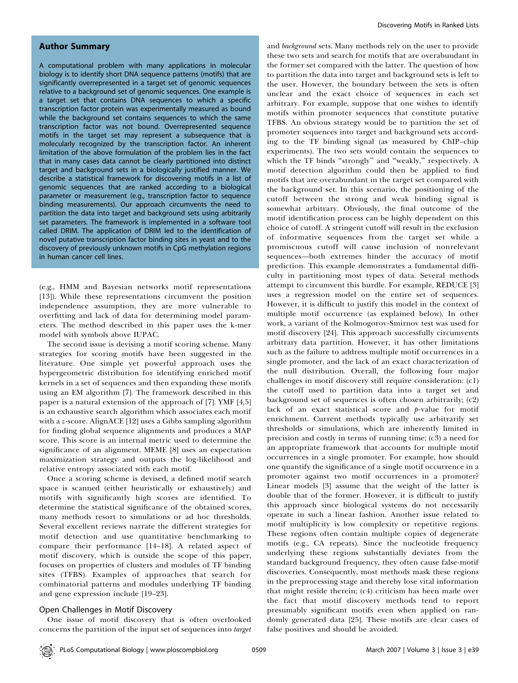## Author Summary

A computational problem with many applications in molecular biology is to identify short DNA sequence patterns (motifs) that are significantly overrepresented in a target set of genomic sequences relative to a background set of genomic sequences. One example is a target set that contains DNA sequences to which a specific transcription factor protein was experimentally measured as bound while the background set contains sequences to which the same transcription factor was not bound. Overrepresented sequence motifs in the target set may represent a subsequence that is molecularly recognized by the transcription factor. An inherent limitation of the above formulation of the problem lies in the fact that in many cases data cannot be clearly partitioned into distinct target and background sets in a biologically justified manner. We describe a statistical framework for discovering motifs in a list of genomic sequences that are ranked according to a biological parameter or measurement (e.g., transcription factor to sequence binding measurements). Our approach circumvents the need to partition the data into target and background sets using arbitrarily set parameters. The framework is implemented in a software tool called DRIM. The application of DRIM led to the identification of novel putative transcription factor binding sites in yeast and to the discovery of previously unknown motifs in CpG methylation regions in human cancer cell lines.

(e.g., HMM and Bayesian networks motif representations [13]). While these representations circumvent the position independence assumption, they are more vulnerable to overfitting and lack of data for determining model parameters. The method described in this paper uses the k-mer model with symbols above IUPAC.

The second issue is devising a motif scoring scheme. Many strategies for scoring motifs have been suggested in the literature. One simple yet powerful approach uses the hypergeometric distribution for identifying enriched motif kernels in a set of sequences and then expanding these motifs using an EM algorithm [7]. The framework described in this paper is a natural extension of the approach of [7]. YMF [4,5] is an exhaustive search algorithm which associates each motif with a z-score. AlignACE [12] uses a Gibbs sampling algorithm for finding global sequence alignments and produces a MAP score. This score is an internal metric used to determine the significance of an alignment. MEME [8] uses an expectation maximization strategy and outputs the log-likelihood and relative entropy associated with each motif.

Once a scoring scheme is devised, a defined motif search space is scanned (either heuristically or exhaustively) and motifs with significantly high scores are identified. To determine the statistical significance of the obtained scores, many methods resort to simulations or ad hoc thresholds. Several excellent reviews narrate the different strategies for motif detection and use quantitative benchmarking to compare their performance [14–18]. A related aspect of motif discovery, which is outside the scope of this paper, focuses on properties of clusters and modules of TF binding sites (TFBS). Examples of approaches that search for combinatorial patterns and modules underlying TF binding and gene expression include [19–23].

## Open Challenges in Motif Discovery

One issue of motif discovery that is often overlooked concerns the partition of the input set of sequences into target

and background sets. Many methods rely on the user to provide these two sets and search for motifs that are overabundant in the former set compared with the latter. The question of how to partition the data into target and background sets is left to the user. However, the boundary between the sets is often unclear and the exact choice of sequences in each set arbitrary. For example, suppose that one wishes to identify motifs within promoter sequences that constitute putative TFBS. An obvious strategy would be to partition the set of promoter sequences into target and background sets according to the TF binding signal (as measured by ChIP–chip experiments). The two sets would contain the sequences to which the TF binds "strongly" and "weakly," respectively. A motif detection algorithm could then be applied to find motifs that are overabundant in the target set compared with the background set. In this scenario, the positioning of the cutoff between the strong and weak binding signal is somewhat arbitrary. Obviously, the final outcome of the motif identification process can be highly dependent on this choice of cutoff. A stringent cutoff will result in the exclusion of informative sequences from the target set while a promiscuous cutoff will cause inclusion of nonrelevant sequences—both extremes hinder the accuracy of motif prediction. This example demonstrates a fundamental difficulty in partitioning most types of data. Several methods attempt to circumvent this hurdle. For example, REDUCE [3] uses a regression model on the entire set of sequences. However, it is difficult to justify this model in the context of multiple motif occurrence (as explained below). In other work, a variant of the Kolmogorov-Smirnov test was used for motif discovery [24]. This approach successfully circumvents arbitrary data partition. However, it has other limitations such as the failure to address multiple motif occurrences in a single promoter, and the lack of an exact characterization of the null distribution. Overall, the following four major challenges in motif discovery still require consideration: (c1) the cutoff used to partition data into a target set and background set of sequences is often chosen arbitrarily; (c2) lack of an exact statistical score and  $p$ -value for motif enrichment. Current methods typically use arbitrarily set thresholds or simulations, which are inherently limited in precision and costly in terms of running time; (c3) a need for an appropriate framework that accounts for multiple motif occurrences in a single promoter. For example, how should one quantify the significance of a single motif occurrence in a promoter against two motif occurrences in a promoter? Linear models [3] assume that the weight of the latter is double that of the former. However, it is difficult to justify this approach since biological systems do not necessarily operate in such a linear fashion. Another issue related to motif multiplicity is low complexity or repetitive regions. These regions often contain multiple copies of degenerate motifs (e.g., CA repeats). Since the nucleotide frequency underlying these regions substantially deviates from the standard background frequency, they often cause false-motif discoveries. Consequently, most methods mask these regions in the preprocessing stage and thereby lose vital information that might reside therein; (c4) criticism has been made over the fact that motif discovery methods tend to report presumably significant motifs even when applied on randomly generated data [25]. These motifs are clear cases of false positives and should be avoided.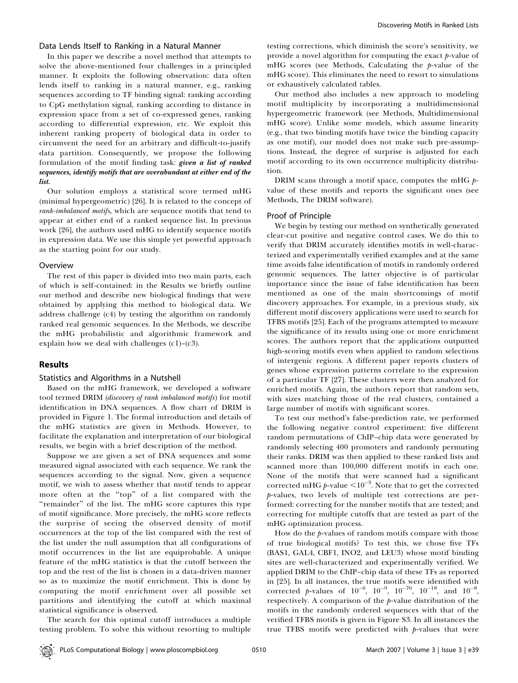## Data Lends Itself to Ranking in a Natural Manner

In this paper we describe a novel method that attempts to solve the above-mentioned four challenges in a principled manner. It exploits the following observation: data often lends itself to ranking in a natural manner, e.g., ranking sequences according to TF binding signal: ranking according to CpG methylation signal, ranking according to distance in expression space from a set of co-expressed genes, ranking according to differential expression, etc. We exploit this inherent ranking property of biological data in order to circumvent the need for an arbitrary and difficult-to-justify data partition. Consequently, we propose the following formulation of the motif finding task: given a list of ranked sequences, identify motifs that are overabundant at either end of the list.

Our solution employs a statistical score termed mHG (minimal hypergeometric) [26]. It is related to the concept of rank-imbalanced motifs, which are sequence motifs that tend to appear at either end of a ranked sequence list. In previous work [26], the authors used mHG to identify sequence motifs in expression data. We use this simple yet powerful approach as the starting point for our study.

## Overview

The rest of this paper is divided into two main parts, each of which is self-contained: in the Results we briefly outline our method and describe new biological findings that were obtained by applying this method to biological data. We address challenge (c4) by testing the algorithm on randomly ranked real genomic sequences. In the Methods, we describe the mHG probabilistic and algorithmic framework and explain how we deal with challenges  $(c1)-(c3)$ .

## Results

## Statistics and Algorithms in a Nutshell

Based on the mHG framework, we developed a software tool termed DRIM (discovery of rank imbalanced motifs) for motif identification in DNA sequences. A flow chart of DRIM is provided in Figure 1. The formal introduction and details of the mHG statistics are given in Methods. However, to facilitate the explanation and interpretation of our biological results, we begin with a brief description of the method.

Suppose we are given a set of DNA sequences and some measured signal associated with each sequence. We rank the sequences according to the signal. Now, given a sequence motif, we wish to assess whether that motif tends to appear more often at the ''top'' of a list compared with the "remainder" of the list. The mHG score captures this type of motif significance. More precisely, the mHG score reflects the surprise of seeing the observed density of motif occurrences at the top of the list compared with the rest of the list under the null assumption that all configurations of motif occurrences in the list are equiprobable. A unique feature of the mHG statistics is that the cutoff between the top and the rest of the list is chosen in a data-driven manner so as to maximize the motif enrichment. This is done by computing the motif enrichment over all possible set partitions and identifying the cutoff at which maximal statistical significance is observed.

The search for this optimal cutoff introduces a multiple testing problem. To solve this without resorting to multiple

testing corrections, which diminish the score's sensitivity, we provide a novel algorithm for computing the exact  $p$ -value of mHG scores (see Methods, Calculating the  $p$ -value of the mHG score). This eliminates the need to resort to simulations or exhaustively calculated tables.

Our method also includes a new approach to modeling motif multiplicity by incorporating a multidimensional hypergeometric framework (see Methods, Multidimensional mHG score). Unlike some models, which assume linearity (e.g., that two binding motifs have twice the binding capacity as one motif), our model does not make such pre-assumptions. Instead, the degree of surprise is adjusted for each motif according to its own occurrence multiplicity distribution.

DRIM scans through a motif space, computes the mHG  $p$ value of these motifs and reports the significant ones (see Methods, The DRIM software).

## Proof of Principle

We begin by testing our method on synthetically generated clear-cut positive and negative control cases. We do this to verify that DRIM accurately identifies motifs in well-characterized and experimentally verified examples and at the same time avoids false identification of motifs in randomly ordered genomic sequences. The latter objective is of particular importance since the issue of false identification has been mentioned as one of the main shortcomings of motif discovery approaches. For example, in a previous study, six different motif discovery applications were used to search for TFBS motifs [25]. Each of the programs attempted to measure the significance of its results using one or more enrichment scores. The authors report that the applications outputted high-scoring motifs even when applied to random selections of intergenic regions. A different paper reports clusters of genes whose expression patterns correlate to the expression of a particular TF [27]. These clusters were then analyzed for enriched motifs. Again, the authors report that random sets, with sizes matching those of the real clusters, contained a large number of motifs with significant scores.

To test our method's false-prediction rate, we performed the following negative control experiment: five different random permutations of ChIP–chip data were generated by randomly selecting 400 promoters and randomly permuting their ranks. DRIM was then applied to these ranked lists and scanned more than 100,000 different motifs in each one. None of the motifs that were scanned had a significant corrected mHG p-value  $\leq 10^{-3}$ . Note that to get the corrected p-values, two levels of multiple test corrections are performed: correcting for the number motifs that are tested; and correcting for multiple cutoffs that are tested as part of the mHG optimization process.

How do the  $p$ -values of random motifs compare with those of true biological motifs? To test this, we chose five TFs (BAS1, GAL4, CBF1, INO2, and LEU3) whose motif binding sites are well-characterized and experimentally verified. We applied DRIM to the ChIP–chip data of these TFs as reported in [25]. In all instances, the true motifs were identified with corrected p-values of  $10^{-6}$ ,  $10^{-9}$ ,  $10^{-76}$ ,  $10^{-18}$ , and  $10^{-8}$ , respectively. A comparison of the  $p$ -value distribution of the motifs in the randomly ordered sequences with that of the verified TFBS motifs is given in Figure S3. In all instances the true TFBS motifs were predicted with  $p$ -values that were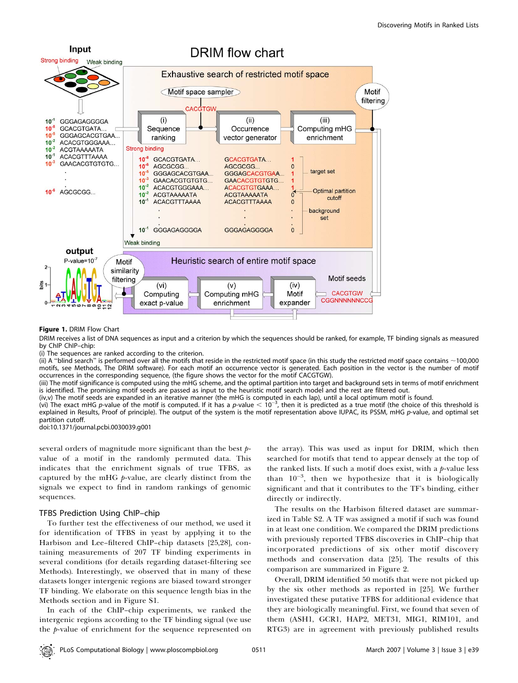

#### Figure 1. DRIM Flow Chart

DRIM receives a list of DNA sequences as input and a criterion by which the sequences should be ranked, for example, TF binding signals as measured by ChIP ChIP–chip:

(i) The sequences are ranked according to the criterion.

(ii) A "blind search" is performed over all the motifs that reside in the restricted motif space (in this study the restricted motif space contains  $\sim$  100,000 motifs, see Methods, The DRIM software). For each motif an occurrence vector is generated. Each position in the vector is the number of motif occurrences in the corresponding sequence, (the figure shows the vector for the motif CACGTGW).

(iii) The motif significance is computed using the mHG scheme, and the optimal partition into target and background sets in terms of motif enrichment is identified. The promising motif seeds are passed as input to the heuristic motif search model and the rest are filtered out.

(iv,v) The motif seeds are expanded in an iterative manner (the mHG is computed in each lap), until a local optimum motif is found.

(vi) The exact mHG p-value of the motif is computed. If it has a p-value  $< 10^{-3}$ , then it is predicted as a true motif (the choice of this threshold is explained in Results, Proof of principle). The output of the system is the motif representation above IUPAC, its PSSM, mHG p-value, and optimal set partition cutoff.

doi:10.1371/journal.pcbi.0030039.g001

several orders of magnitude more significant than the best pvalue of a motif in the randomly permuted data. This indicates that the enrichment signals of true TFBS, as captured by the mHG  $p$ -value, are clearly distinct from the signals we expect to find in random rankings of genomic sequences.

## TFBS Prediction Using ChIP–chip

To further test the effectiveness of our method, we used it for identification of TFBS in yeast by applying it to the Harbison and Lee–filtered ChIP–chip datasets [25,28], containing measurements of 207 TF binding experiments in several conditions (for details regarding dataset-filtering see Methods). Interestingly, we observed that in many of these datasets longer intergenic regions are biased toward stronger TF binding. We elaborate on this sequence length bias in the Methods section and in Figure S1.

In each of the ChIP–chip experiments, we ranked the intergenic regions according to the TF binding signal (we use the p-value of enrichment for the sequence represented on

the array). This was used as input for DRIM, which then searched for motifs that tend to appear densely at the top of the ranked lists. If such a motif does exist, with a  $p$ -value less than  $10^{-3}$ , then we hypothesize that it is biologically significant and that it contributes to the TF's binding, either directly or indirectly.

The results on the Harbison filtered dataset are summarized in Table S2. A TF was assigned a motif if such was found in at least one condition. We compared the DRIM predictions with previously reported TFBS discoveries in ChIP–chip that incorporated predictions of six other motif discovery methods and conservation data [25]. The results of this comparison are summarized in Figure 2.

Overall, DRIM identified 50 motifs that were not picked up by the six other methods as reported in [25]. We further investigated these putative TFBS for additional evidence that they are biologically meaningful. First, we found that seven of them (ASH1, GCR1, HAP2, MET31, MIG1, RIM101, and RTG3) are in agreement with previously published results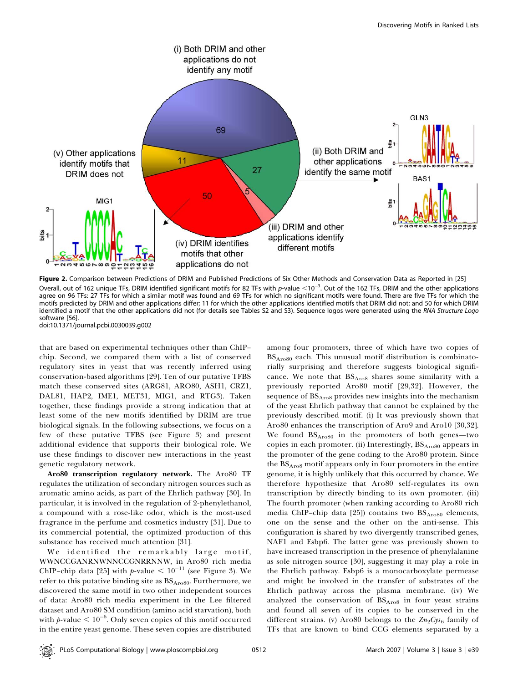

Figure 2. Comparison between Predictions of DRIM and Published Predictions of Six Other Methods and Conservation Data as Reported in [25] Overall, out of 162 unique TFs, DRIM identified significant motifs for 82 TFs with p-value  $<$ 10<sup>-3</sup>. Out of the 162 TFs, DRIM and the other applications agree on 96 TFs: 27 TFs for which a similar motif was found and 69 TFs for which no significant motifs were found. There are five TFs for which the motifs predicted by DRIM and other applications differ; 11 for which the other applications identified motifs that DRIM did not; and 50 for which DRIM identified a motif that the other applications did not (for details see Tables S2 and S3). Sequence logos were generated using the RNA Structure Logo software [56].

doi:10.1371/journal.pcbi.0030039.g002

that are based on experimental techniques other than ChIP– chip. Second, we compared them with a list of conserved regulatory sites in yeast that was recently inferred using conservation-based algorithms [29]. Ten of our putative TFBS match these conserved sites (ARG81, ARO80, ASH1, CRZ1, DAL81, HAP2, IME1, MET31, MIG1, and RTG3). Taken together, these findings provide a strong indication that at least some of the new motifs identified by DRIM are true biological signals. In the following subsections, we focus on a few of these putative TFBS (see Figure 3) and present additional evidence that supports their biological role. We use these findings to discover new interactions in the yeast genetic regulatory network.

Aro80 transcription regulatory network. The Aro80 TF regulates the utilization of secondary nitrogen sources such as aromatic amino acids, as part of the Ehrlich pathway [30]. In particular, it is involved in the regulation of 2-phenylethanol, a compound with a rose-like odor, which is the most-used fragrance in the perfume and cosmetics industry [31]. Due to its commercial potential, the optimized production of this substance has received much attention [31].

We identified the remarkably large motif, WWNCCGANRNWNNCCGNRRNNW, in Aro80 rich media ChIP-chip data [25] with p-value  $< 10^{-11}$  (see Figure 3). We refer to this putative binding site as  $BS<sub>Aro80</sub>$ . Furthermore, we discovered the same motif in two other independent sources of data: Aro80 rich media experiment in the Lee filtered dataset and Aro80 SM condition (amino acid starvation), both with p-value  $\rm < 10^{-6}$ . Only seven copies of this motif occurred in the entire yeast genome. These seven copies are distributed

among four promoters, three of which have two copies of  $BS<sub>Aro80</sub>$  each. This unusual motif distribution is combinatorially surprising and therefore suggests biological significance. We note that  $BS<sub>Aro8</sub>$  shares some similarity with a previously reported Aro80 motif [29,32]. However, the sequence of  $BS<sub>Aro8</sub>$  provides new insights into the mechanism of the yeast Ehrlich pathway that cannot be explained by the previously described motif. (i) It was previously shown that Aro80 enhances the transcription of Aro9 and Aro10 [30,32]. We found BSAro80 in the promoters of both genes—two copies in each promoter. (ii) Interestingly,  $BS<sub>Aro80</sub>$  appears in the promoter of the gene coding to the Aro80 protein. Since the  $BS<sub>Aro8</sub>$  motif appears only in four promoters in the entire genome, it is highly unlikely that this occurred by chance. We therefore hypothesize that Aro80 self-regulates its own transcription by directly binding to its own promoter. (iii) The fourth promoter (when ranking according to Aro80 rich media ChIP-chip data [25]) contains two  $BS<sub>Aro80</sub>$  elements, one on the sense and the other on the anti-sense. This configuration is shared by two divergently transcribed genes, NAF1 and Esbp6. The latter gene was previously shown to have increased transcription in the presence of phenylalanine as sole nitrogen source [30], suggesting it may play a role in the Ehrlich pathway. Esbp6 is a monocarboxylate permease and might be involved in the transfer of substrates of the Ehrlich pathway across the plasma membrane. (iv) We analyzed the conservation of  $BS<sub>Aro8</sub>$  in four yeast strains and found all seven of its copies to be conserved in the different strains. (v) Aro80 belongs to the  $Zn<sub>2</sub>Cys<sub>6</sub>$  family of TFs that are known to bind CCG elements separated by a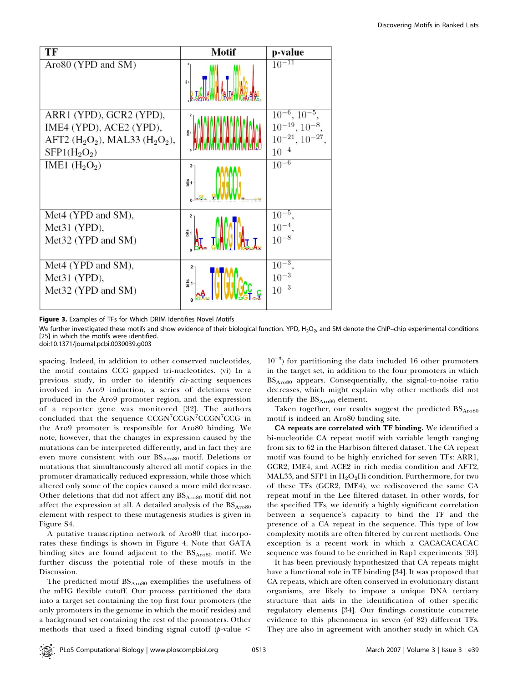

Figure 3. Examples of TFs for Which DRIM Identifies Novel Motifs

We further investigated these motifs and show evidence of their biological function. YPD, H<sub>2</sub>O<sub>2</sub>, and SM denote the ChIP–chip experimental conditions [25] in which the motifs were identified.

doi:10.1371/journal.pcbi.0030039.g003

spacing. Indeed, in addition to other conserved nucleotides, the motif contains CCG gapped tri-nucleotides. (vi) In a previous study, in order to identify cis-acting sequences involved in Aro9 induction, a series of deletions were produced in the Aro9 promoter region, and the expression of a reporter gene was monitored [32]. The authors concluded that the sequence CCGN<sup>7</sup>CCGN<sup>7</sup>CCGN<sup>7</sup>CCG in the Aro9 promoter is responsible for Aro80 binding. We note, however, that the changes in expression caused by the mutations can be interpreted differently, and in fact they are even more consistent with our  $BS<sub>Aro80</sub>$  motif. Deletions or mutations that simultaneously altered all motif copies in the promoter dramatically reduced expression, while those which altered only some of the copies caused a more mild decrease. Other deletions that did not affect any  $BS<sub>Aro80</sub>$  motif did not affect the expression at all. A detailed analysis of the  $BS<sub>Aro80</sub>$ element with respect to these mutagenesis studies is given in Figure S4.

A putative transcription network of Aro80 that incorporates these findings is shown in Figure 4. Note that GATA binding sites are found adjacent to the  $BS<sub>Aro80</sub>$  motif. We further discuss the potential role of these motifs in the Discussion.

The predicted motif  $BS<sub>Aros0</sub>$  exemplifies the usefulness of the mHG flexible cutoff. Our process partitioned the data into a target set containing the top first four promoters (the only promoters in the genome in which the motif resides) and a background set containing the rest of the promoters. Other methods that used a fixed binding signal cutoff  $(p$ -value  $\leq$ 

 $10^{-3}$ ) for partitioning the data included 16 other promoters in the target set, in addition to the four promoters in which BSAro80 appears. Consequentially, the signal-to-noise ratio decreases, which might explain why other methods did not identify the  $\mathrm{BS}_{\mathrm{A} \mathrm{ro} 80}$  element.

Taken together, our results suggest the predicted  $BS<sub>Aro80</sub>$ motif is indeed an Aro80 binding site.

CA repeats are correlated with TF binding. We identified a bi-nucleotide CA repeat motif with variable length ranging from six to 62 in the Harbison filtered dataset. The CA repeat motif was found to be highly enriched for seven TFs: ARR1, GCR2, IME4, and ACE2 in rich media condition and AFT2, MAL33, and SFP1 in  $H_2O_2H$ i condition. Furthermore, for two of these TFs (GCR2, IME4), we rediscovered the same CA repeat motif in the Lee filtered dataset. In other words, for the specified TFs, we identify a highly significant correlation between a sequence's capacity to bind the TF and the presence of a CA repeat in the sequence. This type of low complexity motifs are often filtered by current methods. One exception is a recent work in which a CACACACACAC sequence was found to be enriched in Rap1 experiments [33].

It has been previously hypothesized that CA repeats might have a functional role in TF binding [34]. It was proposed that CA repeats, which are often conserved in evolutionary distant organisms, are likely to impose a unique DNA tertiary structure that aids in the identification of other specific regulatory elements [34]. Our findings constitute concrete evidence to this phenomena in seven (of 82) different TFs. They are also in agreement with another study in which CA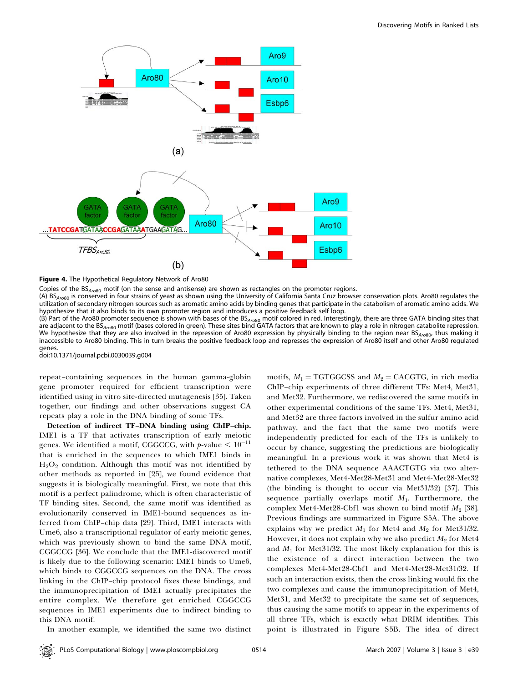



Copies of the  $BS<sub>Aros0</sub>$  motif (on the sense and antisense) are shown as rectangles on the promoter regions.

(A) BS<sub>Aro80</sub> is conserved in four strains of yeast as shown using the University of California Santa Cruz browser conservation plots. Aro80 regulates the utilization of secondary nitrogen sources such as aromatic amino acids by binding genes that participate in the catabolism of aromatic amino acids. We hypothesize that it also binds to its own promoter region and introduces a positive feedback self loop.

(B) Part of the Aro80 promoter sequence is shown with bases of the BS<sub>Aro80</sub> motif colored in red. Interestingly, there are three GATA binding sites that are adjacent to the BS<sub>Aro80</sub> motif (bases colored in green). These sites bind GATA factors that are known to play a role in nitrogen catabolite repression. We hypothesize that they are also involved in the repression of Aro80 expression by physically binding to the region near BSAro80, thus making it inaccessible to Aro80 binding. This in turn breaks the positive feedback loop and represses the expression of Aro80 itself and other Aro80 regulated genes.

doi:10.1371/journal.pcbi.0030039.g004

repeat–containing sequences in the human gamma-globin gene promoter required for efficient transcription were identified using in vitro site-directed mutagenesis [35]. Taken together, our findings and other observations suggest CA repeats play a role in the DNA binding of some TFs.

Detection of indirect TF–DNA binding using ChIP–chip. IME1 is a TF that activates transcription of early meiotic genes. We identified a motif, CGGCCG, with  $p\text{-value} < 10^{-11}$ that is enriched in the sequences to which IME1 binds in  $H<sub>2</sub>O<sub>2</sub>$  condition. Although this motif was not identified by other methods as reported in [25], we found evidence that suggests it is biologically meaningful. First, we note that this motif is a perfect palindrome, which is often characteristic of TF binding sites. Second, the same motif was identified as evolutionarily conserved in IME1-bound sequences as inferred from ChIP–chip data [29]. Third, IME1 interacts with Ume6, also a transcriptional regulator of early meiotic genes, which was previously shown to bind the same DNA motif, CGGCCG [36]. We conclude that the IME1-discovered motif is likely due to the following scenario: IME1 binds to Ume6, which binds to CGGCCG sequences on the DNA. The cross linking in the ChIP–chip protocol fixes these bindings, and the immunoprecipitation of IME1 actually precipitates the entire complex. We therefore get enriched CGGCCG sequences in IME1 experiments due to indirect binding to this DNA motif.

In another example, we identified the same two distinct

motifs,  $M_1$  = TGTGGCSS and  $M_2$  = CACGTG, in rich media ChIP–chip experiments of three different TFs: Met4, Met31, and Met32. Furthermore, we rediscovered the same motifs in other experimental conditions of the same TFs. Met4, Met31, and Met32 are three factors involved in the sulfur amino acid pathway, and the fact that the same two motifs were independently predicted for each of the TFs is unlikely to occur by chance, suggesting the predictions are biologically meaningful. In a previous work it was shown that Met4 is tethered to the DNA sequence AAACTGTG via two alternative complexes, Met4-Met28-Met31 and Met4-Met28-Met32 (the binding is thought to occur via Met31/32) [37]. This sequence partially overlaps motif  $M_1$ . Furthermore, the complex Met4-Met28-Cbf1 was shown to bind motif  $M_2$  [38]. Previous findings are summarized in Figure S5A. The above explains why we predict  $M_1$  for Met4 and  $M_2$  for Met31/32. However, it does not explain why we also predict  $M_2$  for Met4 and  $M_1$  for Met31/32. The most likely explanation for this is the existence of a direct interaction between the two complexes Met4-Met28-Cbf1 and Met4-Met28-Met31/32. If such an interaction exists, then the cross linking would fix the two complexes and cause the immunoprecipitation of Met4, Met31, and Met32 to precipitate the same set of sequences, thus causing the same motifs to appear in the experiments of all three TFs, which is exactly what DRIM identifies. This point is illustrated in Figure S5B. The idea of direct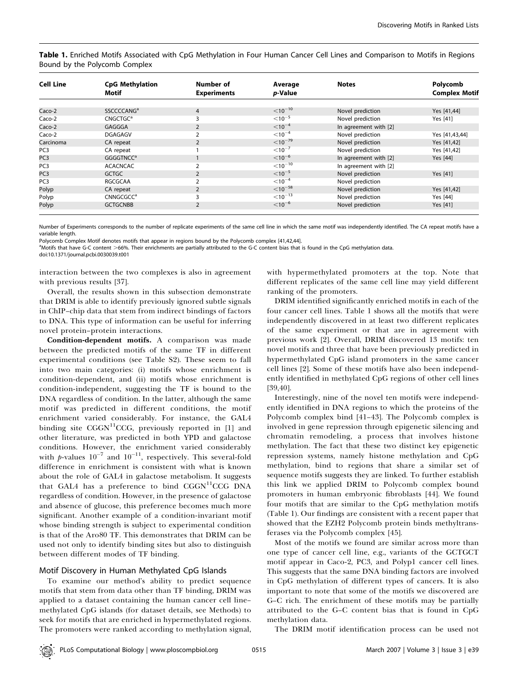Table 1. Enriched Motifs Associated with CpG Methylation in Four Human Cancer Cell Lines and Comparison to Motifs in Regions Bound by the Polycomb Complex

| <b>Cell Line</b> | <b>CpG Methylation</b><br>Motif | Number of<br><b>Experiments</b> | Average<br><i>p</i> -Value | <b>Notes</b>          | Polycomb<br><b>Complex Motif</b> |
|------------------|---------------------------------|---------------------------------|----------------------------|-----------------------|----------------------------------|
|                  |                                 |                                 |                            |                       |                                  |
| Caco-2           | SSCCCCANG <sup>a</sup>          | $\overline{4}$                  | $\leq 10^{-10}$            | Novel prediction      | Yes [41,44]                      |
| Caco-2           | CNGCTGC <sup>a</sup>            | 3                               | $\leq 10^{-5}$             | Novel prediction      | Yes [41]                         |
| Caco-2           | GAGGGA                          | $\overline{2}$                  | $< 10^{-4}$                | In agreement with [2] |                                  |
| Caco-2           | <b>DGAGAGV</b>                  | 2                               | $< 10^{-4}$                | Novel prediction      | Yes [41,43,44]                   |
| Carcinoma        | CA repeat                       | $\overline{2}$                  | $< 10^{-79}$               | Novel prediction      | Yes [41,42]                      |
| PC <sub>3</sub>  | CA repeat                       |                                 | $< 10^{-7}$                | Novel prediction      | Yes [41,42]                      |
| PC <sub>3</sub>  | GGGGTNCC <sup>a</sup>           |                                 | $< 10^{-6}$                | In agreement with [2] | Yes [44]                         |
| PC <sub>3</sub>  | <b>ACACNCAC</b>                 | 2                               | $< 10^{-10}$               | In agreement with [2] |                                  |
| PC <sub>3</sub>  | <b>GCTGC</b>                    | $\overline{2}$                  | $\leq 10^{-5}$             | Novel prediction      | Yes [41]                         |
| PC <sub>3</sub>  | RGCGCAA                         |                                 | $< 10^{-4}$                | Novel prediction      |                                  |
| Polyp            | CA repeat                       | $\overline{2}$                  | $< 10^{-58}$               | Novel prediction      | Yes [41,42]                      |
| Polyp            | CNNGCGCC <sup>a</sup>           | 3                               | $\leq 10^{-13}$            | Novel prediction      | Yes [44]                         |
| Polyp            | <b>GCTGCNBB</b>                 | $\overline{2}$                  | $< 10^{-6}$                | Novel prediction      | Yes [41]                         |

Number of Experiments corresponds to the number of replicate experiments of the same cell line in which the same motif was independently identified. The CA repeat motifs have a variable length.

Polycomb Complex Motif denotes motifs that appear in regions bound by the Polycomb complex [41,42,44].

<sup>a</sup>Motifs that have G-C content >66%. Their enrichments are partially attributed to the G-C content bias that is found in the CpG methylation data.

doi:10.1371/journal.pcbi.0030039.t001

interaction between the two complexes is also in agreement with previous results [37].

Overall, the results shown in this subsection demonstrate that DRIM is able to identify previously ignored subtle signals in ChIP–chip data that stem from indirect bindings of factors to DNA. This type of information can be useful for inferring novel protein–protein interactions.

Condition-dependent motifs. A comparison was made between the predicted motifs of the same TF in different experimental conditions (see Table S2). These seem to fall into two main categories: (i) motifs whose enrichment is condition-dependent, and (ii) motifs whose enrichment is condition-independent, suggesting the TF is bound to the DNA regardless of condition. In the latter, although the same motif was predicted in different conditions, the motif enrichment varied considerably. For instance, the GAL4 binding site  $CGGN<sup>11</sup>CCG$ , previously reported in [1] and other literature, was predicted in both YPD and galactose conditions. However, the enrichment varied considerably with p-values  $10^{-7}$  and  $10^{-11}$ , respectively. This several-fold difference in enrichment is consistent with what is known about the role of GAL4 in galactose metabolism. It suggests that GAL4 has a preference to bind  $CGGN^{11}CCG$  DNA regardless of condition. However, in the presence of galactose and absence of glucose, this preference becomes much more significant. Another example of a condition-invariant motif whose binding strength is subject to experimental condition is that of the Aro80 TF. This demonstrates that DRIM can be used not only to identify binding sites but also to distinguish between different modes of TF binding.

#### Motif Discovery in Human Methylated CpG Islands

To examine our method's ability to predict sequence motifs that stem from data other than TF binding, DRIM was applied to a dataset containing the human cancer cell line– methylated CpG islands (for dataset details, see Methods) to seek for motifs that are enriched in hypermethylated regions. The promoters were ranked according to methylation signal,

with hypermethylated promoters at the top. Note that different replicates of the same cell line may yield different ranking of the promoters.

DRIM identified significantly enriched motifs in each of the four cancer cell lines. Table 1 shows all the motifs that were independently discovered in at least two different replicates of the same experiment or that are in agreement with previous work [2]. Overall, DRIM discovered 13 motifs: ten novel motifs and three that have been previously predicted in hypermethylated CpG island promoters in the same cancer cell lines [2]. Some of these motifs have also been independently identified in methylated CpG regions of other cell lines [39,40].

Interestingly, nine of the novel ten motifs were independently identified in DNA regions to which the proteins of the Polycomb complex bind [41–43]. The Polycomb complex is involved in gene repression through epigenetic silencing and chromatin remodeling, a process that involves histone methylation. The fact that these two distinct key epigenetic repression systems, namely histone methylation and CpG methylation, bind to regions that share a similar set of sequence motifs suggests they are linked. To further establish this link we applied DRIM to Polycomb complex bound promoters in human embryonic fibroblasts [44]. We found four motifs that are similar to the CpG methylation motifs (Table 1). Our findings are consistent with a recent paper that showed that the EZH2 Polycomb protein binds methyltransferases via the Polycomb complex [45].

Most of the motifs we found are similar across more than one type of cancer cell line, e.g., variants of the GCTGCT motif appear in Caco-2, PC3, and Polyp1 cancer cell lines. This suggests that the same DNA binding factors are involved in CpG methylation of different types of cancers. It is also important to note that some of the motifs we discovered are G–C rich. The enrichment of these motifs may be partially attributed to the G–C content bias that is found in CpG methylation data.

The DRIM motif identification process can be used not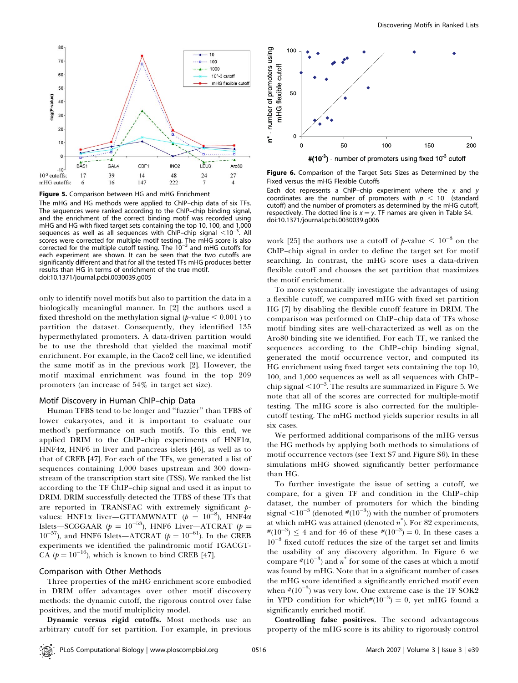

Figure 5. Comparison between HG and mHG Enrichment

The mHG and HG methods were applied to ChIP–chip data of six TFs. The sequences were ranked according to the ChIP–chip binding signal, and the enrichment of the correct binding motif was recorded using mHG and HG with fixed target sets containing the top 10, 100, and 1,000 sequences as well as all sequences with ChIP-chip signal  $<$ 10<sup>-3</sup> . All scores were corrected for multiple motif testing. The mHG score is also corrected for the multiple cutoff testing. The  $10^{-3}$  and mHG cutoffs for each experiment are shown. It can be seen that the two cutoffs are significantly different and that for all the tested TFs mHG produces better results than HG in terms of enrichment of the true motif. doi:10.1371/journal.pcbi.0030039.g005

only to identify novel motifs but also to partition the data in a biologically meaningful manner. In [2] the authors used a fixed threshold on the methylation signal (*p*-value  $< 0.001$  ) to partition the dataset. Consequently, they identified 135 hypermethylated promoters. A data-driven partition would be to use the threshold that yielded the maximal motif enrichment. For example, in the Caco2 cell line, we identified the same motif as in the previous work [2]. However, the motif maximal enrichment was found in the top 209 promoters (an increase of 54% in target set size).

#### Motif Discovery in Human ChIP–chip Data

Human TFBS tend to be longer and ''fuzzier'' than TFBS of lower eukaryotes, and it is important to evaluate our method's performance on such motifs. To this end, we applied DRIM to the ChIP–chip experiments of HNF1a, HNF4a, HNF6 in liver and pancreas islets [46], as well as to that of CREB [47]. For each of the TFs, we generated a list of sequences containing 1,000 bases upstream and 300 downstream of the transcription start site (TSS). We ranked the list according to the TF ChIP–chip signal and used it as input to DRIM. DRIM successfully detected the TFBS of these TFs that are reported in TRANSFAC with extremely significant pvalues: HNF1 $\alpha$  liver—GTTAMWNATT ( $p = 10^{-8}$ ), HNF4 $\alpha$ Islets—SCGGAAR ( $p = 10^{-53}$ ), HNF6 Liver—ATCRAT ( $p =$  $10^{-57}$ ), and HNF6 Islets—ATCRAT ( $p = 10^{-61}$ ). In the CREB experiments we identified the palindromic motif TGACGT-CA ( $p = 10^{-16}$ ), which is known to bind CREB [47].

#### Comparison with Other Methods

Three properties of the mHG enrichment score embodied in DRIM offer advantages over other motif discovery methods: the dynamic cutoff, the rigorous control over false positives, and the motif multiplicity model.

Dynamic versus rigid cutoffs. Most methods use an arbitrary cutoff for set partition. For example, in previous



Figure 6. Comparison of the Target Sets Sizes as Determined by the Fixed versus the mHG Flexible Cutoffs

Each dot represents a ChIP–chip experiment where the  $x$  and  $y$ coordinates are the number of promoters with  $p < 10^{-1}$  (standard cutoff) and the number of promoters as determined by the mHG cutoff, respectively. The dotted line is  $x = y$ . TF names are given in Table S4. doi:10.1371/journal.pcbi.0030039.g006

work [25] the authors use a cutoff of p-value  $< 10^{-3}$  on the ChIP–chip signal in order to define the target set for motif searching. In contrast, the mHG score uses a data-driven flexible cutoff and chooses the set partition that maximizes the motif enrichment.

To more systematically investigate the advantages of using a flexible cutoff, we compared mHG with fixed set partition HG [7] by disabling the flexible cutoff feature in DRIM. The comparison was performed on ChIP–chip data of TFs whose motif binding sites are well-characterized as well as on the Aro80 binding site we identified. For each TF, we ranked the sequences according to the ChIP–chip binding signal, generated the motif occurrence vector, and computed its HG enrichment using fixed target sets containing the top 10, 100, and 1,000 sequences as well as all sequences with ChIP– chip signal  $<$   $10^{-3}$ . The results are summarized in Figure 5. We note that all of the scores are corrected for multiple-motif testing. The mHG score is also corrected for the multiplecutoff testing. The mHG method yields superior results in all six cases.

We performed additional comparisons of the mHG versus the HG methods by applying both methods to simulations of motif occurrence vectors (see Text S7 and Figure S6). In these simulations mHG showed significantly better performance than HG.

To further investigate the issue of setting a cutoff, we compare, for a given TF and condition in the ChIP–chip dataset, the number of promoters for which the binding signal  $<$  10 $^{-3}$  (denoted  $^{#}(10^{-3})$ ) with the number of promoters at which mHG was attained (denoted  $n^*$ ). For 82 experiments,  $^{#}(10^{-3}) \leq 4$  and for 46 of these  $^{#}(10^{-3}) = 0$ . In these cases a  $10^{-3}$  fixed cutoff reduces the size of the target set and limits the usability of any discovery algorithm. In Figure 6 we compare  $^{\#}(10^{-3})$  and  $n^*$  for some of the cases at which a motif was found by mHG. Note that in a significant number of cases the mHG score identified a significantly enriched motif even when  $^{#}(10^{-3})$  was very low. One extreme case is the TF SOK2 in YPD condition for which# $(10^{-3}) = 0$ , yet mHG found a significantly enriched motif.

Controlling false positives. The second advantageous property of the mHG score is its ability to rigorously control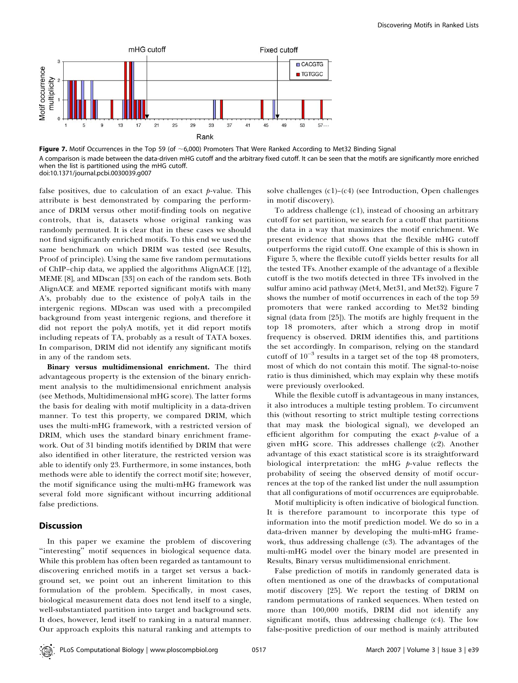

Figure 7. Motif Occurrences in the Top 59 (of  $\sim$  6,000) Promoters That Were Ranked According to Met32 Binding Signal A comparison is made between the data-driven mHG cutoff and the arbitrary fixed cutoff. It can be seen that the motifs are significantly more enriched when the list is partitioned using the mHG cutoff. doi:10.1371/journal.pcbi.0030039.g007

false positives, due to calculation of an exact  $p$ -value. This attribute is best demonstrated by comparing the performance of DRIM versus other motif-finding tools on negative controls, that is, datasets whose original ranking was randomly permuted. It is clear that in these cases we should not find significantly enriched motifs. To this end we used the same benchmark on which DRIM was tested (see Results, Proof of principle). Using the same five random permutations of ChIP–chip data, we applied the algorithms AlignACE [12], MEME [8], and MDscan [33] on each of the random sets. Both AlignACE and MEME reported significant motifs with many A's, probably due to the existence of polyA tails in the intergenic regions. MDscan was used with a precompiled background from yeast intergenic regions, and therefore it did not report the polyA motifs, yet it did report motifs including repeats of TA, probably as a result of TATA boxes. In comparison, DRIM did not identify any significant motifs in any of the random sets.

Binary versus multidimensional enrichment. The third advantageous property is the extension of the binary enrichment analysis to the multidimensional enrichment analysis (see Methods, Multidimensional mHG score). The latter forms the basis for dealing with motif multiplicity in a data-driven manner. To test this property, we compared DRIM, which uses the multi-mHG framework, with a restricted version of DRIM, which uses the standard binary enrichment framework. Out of 31 binding motifs identified by DRIM that were also identified in other literature, the restricted version was able to identify only 23. Furthermore, in some instances, both methods were able to identify the correct motif site; however, the motif significance using the multi-mHG framework was several fold more significant without incurring additional false predictions.

## **Discussion**

In this paper we examine the problem of discovering "interesting" motif sequences in biological sequence data. While this problem has often been regarded as tantamount to discovering enriched motifs in a target set versus a background set, we point out an inherent limitation to this formulation of the problem. Specifically, in most cases, biological measurement data does not lend itself to a single, well-substantiated partition into target and background sets. It does, however, lend itself to ranking in a natural manner. Our approach exploits this natural ranking and attempts to

solve challenges (c1)–(c4) (see Introduction, Open challenges in motif discovery).

To address challenge (c1), instead of choosing an arbitrary cutoff for set partition, we search for a cutoff that partitions the data in a way that maximizes the motif enrichment. We present evidence that shows that the flexible mHG cutoff outperforms the rigid cutoff. One example of this is shown in Figure 5, where the flexible cutoff yields better results for all the tested TFs. Another example of the advantage of a flexible cutoff is the two motifs detected in three TFs involved in the sulfur amino acid pathway (Met4, Met31, and Met32). Figure 7 shows the number of motif occurrences in each of the top 59 promoters that were ranked according to Met32 binding signal (data from [25]). The motifs are highly frequent in the top 18 promoters, after which a strong drop in motif frequency is observed. DRIM identifies this, and partitions the set accordingly. In comparison, relying on the standard cutoff of  $10^{-3}$  results in a target set of the top 48 promoters, most of which do not contain this motif. The signal-to-noise ratio is thus diminished, which may explain why these motifs were previously overlooked.

While the flexible cutoff is advantageous in many instances, it also introduces a multiple testing problem. To circumvent this (without resorting to strict multiple testing corrections that may mask the biological signal), we developed an efficient algorithm for computing the exact  $p$ -value of a given mHG score. This addresses challenge (c2). Another advantage of this exact statistical score is its straightforward biological interpretation: the mHG  $p$ -value reflects the probability of seeing the observed density of motif occurrences at the top of the ranked list under the null assumption that all configurations of motif occurrences are equiprobable.

Motif multiplicity is often indicative of biological function. It is therefore paramount to incorporate this type of information into the motif prediction model. We do so in a data-driven manner by developing the multi-mHG framework, thus addressing challenge (c3). The advantages of the multi-mHG model over the binary model are presented in Results, Binary versus multidimensional enrichment.

False prediction of motifs in randomly generated data is often mentioned as one of the drawbacks of computational motif discovery [25]. We report the testing of DRIM on random permutations of ranked sequences. When tested on more than 100,000 motifs, DRIM did not identify any significant motifs, thus addressing challenge (c4). The low false-positive prediction of our method is mainly attributed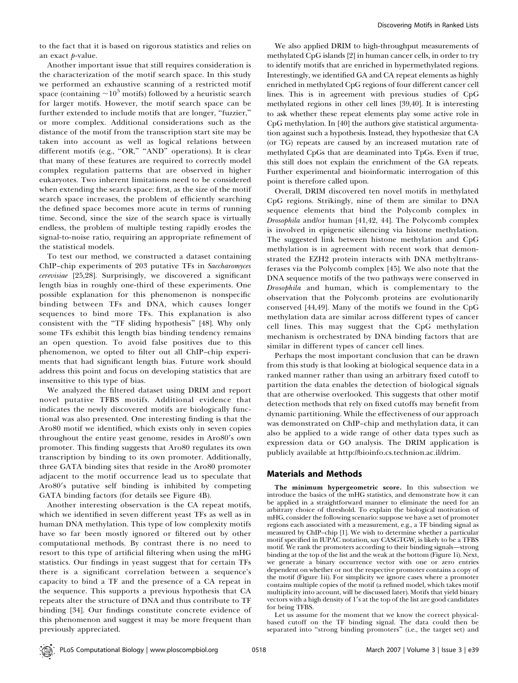to the fact that it is based on rigorous statistics and relies on an exact p-value.

Another important issue that still requires consideration is the characterization of the motif search space. In this study we performed an exhaustive scanning of a restricted motif space (containing  $\sim 10^5$  motifs) followed by a heuristic search for larger motifs. However, the motif search space can be further extended to include motifs that are longer, ''fuzzier,'' or more complex. Additional considerations such as the distance of the motif from the transcription start site may be taken into account as well as logical relations between different motifs (e.g., "OR," "AND" operations). It is clear that many of these features are required to correctly model complex regulation patterns that are observed in higher eukaryotes. Two inherent limitations need to be considered when extending the search space: first, as the size of the motif search space increases, the problem of efficiently searching the defined space becomes more acute in terms of running time. Second, since the size of the search space is virtually endless, the problem of multiple testing rapidly erodes the signal-to-noise ratio, requiring an appropriate refinement of the statistical models.

To test our method, we constructed a dataset containing ChIP–chip experiments of 203 putative TFs in Saccharomyces cerevisiae [25,28]. Surprisingly, we discovered a significant length bias in roughly one-third of these experiments. One possible explanation for this phenomenon is nonspecific binding between TFs and DNA, which causes longer sequences to bind more TFs. This explanation is also consistent with the ''TF sliding hypothesis'' [48]. Why only some TFs exhibit this length bias binding tendency remains an open question. To avoid false positives due to this phenomenon, we opted to filter out all ChIP–chip experiments that had significant length bias. Future work should address this point and focus on developing statistics that are insensitive to this type of bias.

We analyzed the filtered dataset using DRIM and report novel putative TFBS motifs. Additional evidence that indicates the newly discovered motifs are biologically functional was also presented. One interesting finding is that the Aro80 motif we identified, which exists only in seven copies throughout the entire yeast genome, resides in Aro80's own promoter. This finding suggests that Aro80 regulates its own transcription by binding to its own promoter. Additionally, three GATA binding sites that reside in the Aro80 promoter adjacent to the motif occurrence lead us to speculate that Aro80's putative self binding is inhibited by competing GATA binding factors (for details see Figure 4B).

Another interesting observation is the CA repeat motifs, which we identified in seven different yeast TFs as well as in human DNA methylation. This type of low complexity motifs have so far been mostly ignored or filtered out by other computational methods. By contrast there is no need to resort to this type of artificial filtering when using the mHG statistics. Our findings in yeast suggest that for certain TFs there is a significant correlation between a sequence's capacity to bind a TF and the presence of a CA repeat in the sequence. This supports a previous hypothesis that CA repeats alter the structure of DNA and thus contribute to TF binding [34]. Our findings constitute concrete evidence of this phenomenon and suggest it may be more frequent than previously appreciated.

We also applied DRIM to high-throughput measurements of methylated CpG islands [2] in human cancer cells, in order to try to identify motifs that are enriched in hypermethylated regions. Interestingly, we identified GA and CA repeat elements as highly enriched in methylated CpG regions of four different cancer cell lines. This is in agreement with previous studies of CpG methylated regions in other cell lines [39,40]. It is interesting to ask whether these repeat elements play some active role in CpG methylation. In [40] the authors give statistical argumentation against such a hypothesis. Instead, they hypothesize that CA (or TG) repeats are caused by an increased mutation rate of methylated CpGs that are deaminated into TpGs. Even if true, this still does not explain the enrichment of the GA repeats. Further experimental and bioinformatic interrogation of this point is therefore called upon.

Overall, DRIM discovered ten novel motifs in methylated CpG regions. Strikingly, nine of them are similar to DNA sequence elements that bind the Polycomb complex in Drosophila and/or human [41,42, 44]. The Polycomb complex is involved in epigenetic silencing via histone methylation. The suggested link between histone methylation and CpG methylation is in agreement with recent work that demonstrated the EZH2 protein interacts with DNA methyltransferases via the Polycomb complex [45]. We also note that the DNA sequence motifs of the two pathways were conserved in Drosophila and human, which is complementary to the observation that the Polycomb proteins are evolutionarily conserved [44,49]. Many of the motifs we found in the CpG methylation data are similar across different types of cancer cell lines. This may suggest that the CpG methylation mechanism is orchestrated by DNA binding factors that are similar in different types of cancer cell lines.

Perhaps the most important conclusion that can be drawn from this study is that looking at biological sequence data in a ranked manner rather than using an arbitrary fixed cutoff to partition the data enables the detection of biological signals that are otherwise overlooked. This suggests that other motif detection methods that rely on fixed cutoffs may benefit from dynamic partitioning. While the effectiveness of our approach was demonstrated on ChIP–chip and methylation data, it can also be applied to a wide range of other data types such as expression data or GO analysis. The DRIM application is publicly available at http://bioinfo.cs.technion.ac.il/drim.

## Materials and Methods

The minimum hypergeometric score. In this subsection we introduce the basics of the mHG statistics, and demonstrate how it can be applied in a straightforward manner to eliminate the need for an arbitrary choice of threshold. To explain the biological motivation of mHG, consider the following scenario: suppose we have a set of promoter regions each associated with a measurement, e.g., a TF binding signal as measured by ChIP–chip [1]. We wish to determine whether a particular motif specified in IUPAC notation, say CASGTGW, is likely to be a TFBS motif. We rank the promoters according to their binding signals—strong binding at the top of the list and the weak at the bottom (Figure 1i). Next, we generate a binary occurrence vector with one or zero entries dependent on whether or not the respective promoter contains a copy of the motif (Figure 1ii). For simplicity we ignore cases where a promoter contains multiple copies of the motif (a refined model, which takes motif multiplicity into account, will be discussed later). Motifs that yield binary vectors with a high density of  $1^{\prime}$ s at the top of the list are good candidates for being TFBS.

Let us assume for the moment that we know the correct physicalbased cutoff on the TF binding signal. The data could then be separated into ''strong binding promoters'' (i.e., the target set) and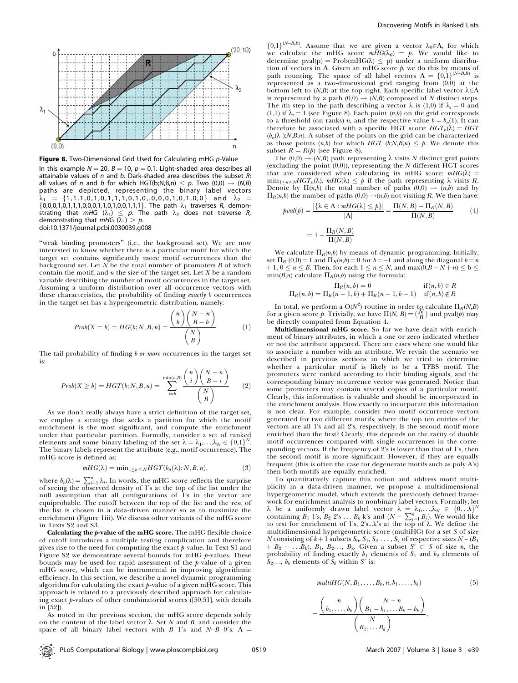

Figure 8. Two-Dimensional Grid Used for Calculating mHG p-Value In this example  $N = 20$ ,  $B = 10$ ,  $p = 0.1$ . Light-shaded area describes all attainable values of  $n$  and  $b$ . Dark-shaded area describes the subset  $R$ : all values of n and b for which HGT(b;N,B,n)  $\leq$  p. Two (0,0)  $\rightarrow$  (N,B) paths are depicted, representing the binary label vectors  $\lambda_1$   $=$   $\{1,1,1,0,1,0,1,1,1,0,1,0,.0,0,0,1,0,0,0\}$  and  $\lambda_2$   $=$  $\{0,0,0,1,0,1,1,1,0,0,0,1,1,0,1,0,0,1,1,1\}$ . The path  $\lambda_1$  traverses R, demonstrating that  $mH$ G ( $\lambda_1$ )  $\leq$   $p$ . The path  $\lambda_2$  does not traverse R, demonstrating that  $mH$ G ( $\lambda_1$ )  $> p$ . doi:10.1371/journal.pcbi.0030039.g008

"weak binding promoters" (i.e., the background set). We are now interested to know whether there is a particular motif for which the target set contains significantly more motif occurrences than the background set. Let  $N$  be the total number of promoters  $B$  of which contain the motif, and  $n$  the size of the target set. Let  $X$  be a random variable describing the number of motif occurrences in the target set. Assuming a uniform distribution over all occurrence vectors with these characteristics, the probability of finding *exactly*  $b$  occurrences in the target set has a hypergeometric distribution, namely:

$$
Prob(X = b) = HG(b; N, B, n) = \frac{\binom{n}{b} \binom{N-n}{B-b}}{\binom{N}{B}}
$$
(1)

The tail probability of finding b or more occurrences in the target set is:

$$
Prob(X \ge b) = HGT(b; N, B, n) = \sum_{i=b}^{\min(n, B)} \frac{\binom{n}{i} \binom{N-n}{B-i}}{\binom{N}{B}}
$$
(2)

As we don't really always have a strict definition of the target set, we employ a strategy that seeks a partition for which the motif enrichment is the most significant, and compute the enrichment under that particular partition. Formally, consider a set of ranked elements and some binary labeling of the set  $\lambda = \lambda_1, \ldots, \lambda_N \in \{0,1\}^N$ . The binary labels represent the attribute (e.g., motif occurrence). The mHG score is defined as:

$$
mHG(\lambda) = \min_{1 \le n < N} HGT(b_n(\lambda); N, B, n),\tag{3}
$$

where  $b_n(\lambda) = \sum_{i=1}^n \lambda_i$ . In words, the mHG score reflects the surprise of seeing the observed density of 1's at the top of the list under the null assumption that all configurations of 1's in the vector are equiprobable. The cutoff between the top of the list and the rest of the list is chosen in a data-driven manner so as to maximize the enrichment (Figure 1iii). We discuss other variants of the mHG score in Texts S2 and S3.

Calculating the p-value of the mHG score. The mHG flexible choice of cutoff introduces a multiple testing complication and therefore gives rise to the need for computing the exact  $p$ -value. In Text S1 and Figure S2 we demonstrate several bounds for mHG  $p$ -values. These bounds may be used for rapid assessment of the  $p$ -value of a given mHG score, which can be instrumental in improving algorithmic efficiency. In this section, we describe a novel dynamic programming algorithm for calculating the exact  $p$ -value of a given mHG score. This approach is related to a previously described approach for calculating exact  $p$ -values of other combinatorial scores ([50,51], with details in [52]).

As noted in the previous section, the mHG score depends solely on the content of the label vector  $\lambda$ . Set N and B, and consider the space of all binary label vectors with B 1's and N–B 0's:  $\Lambda =$ 

 ${0,1}^{(N-B,B)}$ . Assume that we are given a vector  $\lambda_0 \in \Lambda$ , for which we calculate the mHG score  $mHG(\lambda_0) = p$ . We would like to determine pval(p) = Prob(mHG( $\lambda$ )  $\leq$  p) under a uniform distribution of vectors in  $\Lambda$ . Given an mHG score  $p$ , we do this by means of path counting. The space of all label vectors  $\Lambda = \{0,1\}^{(\mathcal{N}-B,B)}$  is represented as a two-dimensional grid ranging from (0,0) at the bottom left to  $(N,B)$  at the top right. Each specific label vector  $\lambda \in \Lambda$ is represented by a path  $(0,0) \rightarrow (N,B)$  composed of N distinct steps. The *i*th step in the path describing a vector  $\lambda$  is (1,0) if  $\lambda_i = 0$  and (1,1) if  $\lambda_i = 1$  (see Figure 8). Each point  $(n,b)$  on the grid corresponds to a threshold (on ranks) *n*, and the respective value  $b = b_n(1)$ . It can therefore be associated with a specific HGT score:  $HGT_n(\lambda) = HGT$  $(b_n(\lambda), N, B, n)$ . A subset of the points on the grid can be characterized as those points  $(n,b)$  for which HGT  $(b;N,\overline{B},n) \leq p$ . We denote this subset  $R = R(p)$  (see Figure 8).

The  $(0,0) \rightarrow (N,B)$  path representing  $\lambda$  visits N distinct grid points (excluding the point  $(0,0)$ ), representing the N different HGT scores that are considered when calculating its mHG score:  $mHG(\lambda)$  =  $\min_{1 \leq n \leq N} HGT_n(\lambda)$ .  $mHG(\lambda) \leq p$  if the path representing  $\lambda$  visits R. Denote by  $\Pi(n,b)$  the total number of paths  $(0,0) \rightarrow (n,b)$  and by  $\Pi_R(n,b)$  the number of paths  $(0,0) \rightarrow (n,b)$  not visiting R. We then have:

$$
pval(p) = \frac{|\{\lambda \in \Lambda : mHG(\lambda) \le p\}|}{|\Lambda|} = \frac{\Pi(N, B) - \Pi_R(N, B)}{\Pi(N, B)} \tag{4}
$$

$$
= 1 - \frac{\Pi_R(N, B)}{\Pi(N, B)}
$$

We calculate  $\Pi_R(n,b)$  by means of dynamic programming. Initially, set  $\Pi_R (0,0) = 1$  and  $\Pi_R (n,b) = 0$  for  $b = -1$  and along the diagonal  $b = n$  $p + 1$ ,  $0 \le n \le B$ . Then, for each  $1 \le n \le N$ , and  $\max(0, B - N + n) \le b \le 1$  $min(B,n)$  calculate  $\Pi_R(n,b)$  using the formula:

$$
\Pi_R(n, b) = 0 \quad \text{if } (n, b) \in R
$$
  

$$
\Pi_R(n, b) = \Pi_R(n - 1, b) + \Pi_R(n - 1, b - 1) \quad \text{if } (n, b) \notin R
$$

In total, we perform a  $O(N^2)$  routine in order to calculate  $\Pi_R(N,B)$ for a given score p. Trivially, we have  $\Pi(N, B) = \begin{pmatrix} N \\ B \end{pmatrix}$  and pval(p) may be directly computed from Equation 4.

Multidimensional mHG score. So far we have dealt with enrichment of binary attributes, in which a one or zero indicated whether or not the attribute appeared. There are cases where one would like to associate a number with an attribute. We revisit the scenario we described in previous sections in which we tried to determine whether a particular motif is likely to be a TFBS motif. The promoters were ranked according to their binding signals, and the corresponding binary occurrence vector was generated. Notice that some promoters may contain several copies of a particular motif. Clearly, this information is valuable and should be incorporated in the enrichment analysis. How exactly to incorporate this information is not clear. For example, consider two motif occurrence vectors generated for two different motifs, where the top ten entries of the vectors are all 1's and all 2's, respectively. Is the second motif more enriched than the first? Clearly, this depends on the rarity of double motif occurrences compared with single occurrences in the corresponding vectors. If the frequency of 2's is lower than that of 1's, then the second motif is more significant. However, if they are equally frequent (this is often the case for degenerate motifs such as poly A's) then both motifs are equally enriched.

To quantitatively capture this notion and address motif multiplicity in a data-driven manner, we propose a multidimensional hypergeometric model, which extends the previously defined framework for enrichment analysis to nonbinary label vectors. Formally, let  $\lambda$  be a uniformly drawn label vector  $\lambda = \lambda_1, \ldots, \lambda_N \in \{0...k\}^N$ containing B<sub>1</sub> 1's, B<sub>2</sub> 2's ... B<sub>k</sub> k's and  $(N - \sum_{j=1}^{k_1} B_j)$ . We would like<br>to test for enrichment of 1's, 2's...k's at the top of  $\lambda$ . We define the multidimensional hypergeometric score (multiHG) for a set S of size N consisting of  $k+1$  subsets  $S_0, S_1, S_2, \ldots, S_k$  of respective sizes  $N - (B_1)$  $\{B_2 + \ldots B_k\}$ ,  $B_1$ ,  $B_2 \ldots$ ,  $B_k$ . Given a subset  $S' \subset S$  of size *n*, the probability of finding exactly  $b_1$  elements of  $S_1$  and  $b_2$  elements of  $\bar{S}_2$ ...,  $b_k$  elements of  $\bar{S}_k$  within S' is:

$$
multiHG(N, B_1, \ldots, B_k, n, b_1, \ldots, b_k)
$$
\n
$$
= \frac{\binom{n}{b_1, \ldots, b_k} \binom{N-n}{B_1 - b_1, \ldots, B_k - b_k}}{\binom{N}{B_1, \ldots, B_k}},
$$
\n
$$
(5)
$$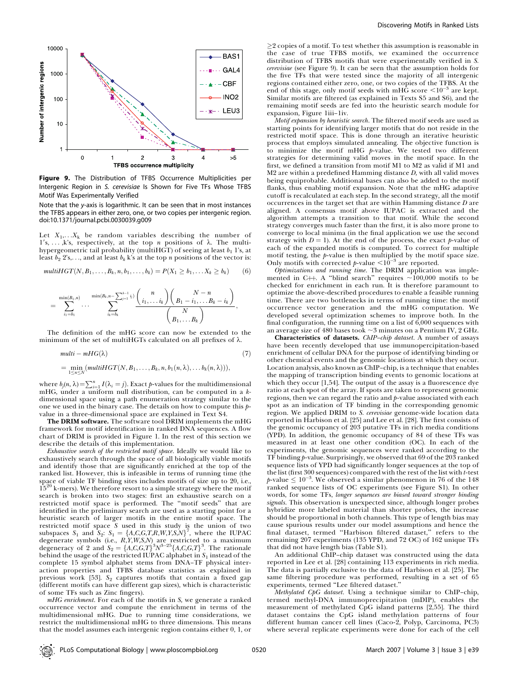

Figure 9. The Distribution of TFBS Occurrence Multiplicities per Intergenic Region in S. cerevisiae Is Shown for Five TFs Whose TFBS Motif Was Experimentally Verified

Note that the y-axis is logarithmic. It can be seen that in most instances the TFBS appears in either zero, one, or two copies per intergenic region. doi:10.1371/journal.pcbi.0030039.g009

Let  $X_1, \ldots X_k$  be random variables describing the number of  $1's$ , ..., k's, respectively, at the top *n* positions of  $\lambda$ . The multihypergeometric tail probability (multiHGT) of seeing at least  $b_1$  1's, at least  $b_2$  2's,..., and at least  $b_k$  k's at the top *n* positions of the vector is:

$$
multiHGT(N, B_1, \ldots, B_k, n, b_1, \ldots, b_k) = P(X_1 \ge b_1, \ldots X_k \ge b_k)
$$
 (6)

$$
=\sum_{i_1=b_1}^{\min(B_1,n)}\cdots \sum_{i_k=b_k}^{\min(B_k,n-\sum_{j=1}^{k-1}i_j)}\underbrace{\binom{n}{i_1,\ldots i_k}\binom{N-n}{B_1-i_1,\ldots B_k-i_k}}_{\left(B_1,\ldots,B_k\right)},
$$

The definition of the mHG score can now be extended to the minimum of the set of multiHGTs calculated on all prefixes of  $\lambda$ .

$$
multi - mHG(\lambda)
$$
\n
$$
= \min_{1 \le n \le N} (multiHGT(N, B_1, \dots, B_k, n, b_1(n, \lambda), \dots, b_k(n, \lambda))),
$$
\n
$$
(7)
$$

where  $b_j(n, \lambda) = \sum_{i=1}^n I(\lambda_i = j)$ . Exact p-values for the multidimensional mHG, under a uniform null distribution, can be computed in a  $k$ dimensional space using a path enumeration strategy similar to the one we used in the binary case. The details on how to compute this pvalue in a three-dimensional space are explained in Text S4.

The DRIM software. The software tool DRIM implements the mHG framework for motif identification in ranked DNA sequences. A flow chart of DRIM is provided in Figure 1. In the rest of this section we describe the details of this implementation.

Exhaustive search of the restricted motif space. Ideally we would like to exhaustively search through the space of all biologically viable motifs and identify those that are significantly enriched at the top of the ranked list. However, this is infeasible in terms of running time (the space of viable TF binding sites includes motifs of size up to 20, i.e.,  $15^{20}$  k-mers). We therefore resort to a simple strategy where the motif search is broken into two stages: first an exhaustive search on a restricted motif space is performed. The ''motif seeds'' that are identified in the preliminary search are used as a starting point for a heuristic search of larger motifs in the entire motif space. The restricted motif space *S* used in this study is the union of two subspaces  $S_1$  and  $S_2$ :  $S_1 = \{A, C, G, T, R, W, Y, S, N\}^7$ , where the IUPAC degenerate symbols (i.e.,  $R, Y, W, S, N$ ) are restricted to a maximum degeneracy of 2 and  $S_2 = \{A, C, G, T\}^{3} N^{3-25} \{A, C, G, T\}^{3}$ . The rationale behind the usage of the restricted IUPAC alphabet in  $S_1$  instead of the complete 15 symbol alphabet stems from DNA–TF physical interaction properties and TFBS database statistics as explained in previous work [53].  $S_2$  captures motifs that contain a fixed gap (different motifs can have different gap sizes), which is characteristic of some TFs such as Zinc fingers).

mHG enrichment. For each of the motifs in S, we generate a ranked occurrence vector and compute the enrichment in terms of the multidimensional mHG. Due to running time considerations, we restrict the multidimensional mHG to three dimensions. This means that the model assumes each intergenic region contains either 0, 1, or

2 copies of a motif. To test whether this assumption is reasonable in the case of true TFBS motifs, we examined the occurrence distribution of TFBS motifs that were experimentally verified in S. cerevisiae (see Figure 9). It can be seen that the assumption holds for the five TFs that were tested since the majority of all intergenic regions contained either zero, one, or two copies of the TFBS. At the end of this stage, only motif seeds with mHG score  $<$  10<sup>-3</sup> are kept. Similar motifs are filtered (as explained in Texts S5 and S6), and the remaining motif seeds are fed into the heuristic search module for expansion, Figure 1iii–1iv.

Motif expansion by heuristic search. The filtered motif seeds are used as starting points for identifying larger motifs that do not reside in the restricted motif space. This is done through an iterative heuristic process that employs simulated annealing. The objective function is to minimize the motif mHG  $p$ -value. We tested two different strategies for determining valid moves in the motif space. In the first, we defined a transition from motif M1 to M2 as valid if M1 and  $M2$  are within a predefined Hamming distance  $D$ , with all valid moves being equiprobable. Additional bases can also be added to the motif flanks, thus enabling motif expansion. Note that the mHG adaptive cutoff is recalculated at each step. In the second strategy, all the motif occurrences in the target set that are within Hamming distance  $D$  are aligned. A consensus motif above IUPAC is extracted and the algorithm attempts a transition to that motif. While the second strategy converges much faster than the first, it is also more prone to converge to local minima (in the final application we use the second strategy with  $D = 1$ ). At the end of the process, the exact p-value of each of the expanded motifs is computed. To correct for multiple motif testing, the *p*-value is then multiplied by the motif space size.<br>Only motifs with corrected *p*-value  $\leq 10^{-3}$  are reported.

Optimizations and running time. The DRIM application was implemented in C++. A "blind search" requires  $\sim$ 100,000 motifs to be checked for enrichment in each run. It is therefore paramount to optimize the above-described procedures to enable a feasible running time. There are two bottlenecks in terms of running time: the motif occurrence vector generation and the mHG computation. We developed several optimization schemes to improve both. In the final configuration, the running time on a list of 6,000 sequences with an average size of 480 bases took  $\sim$ 3 minutes on a Pentium IV, 2 GHz.

Characteristics of datasets. ChIP–chip dataset. A number of assays have been recently developed that use immunopercipitation-based enrichment of cellular DNA for the purpose of identifying binding or other chemical events and the genomic locations at which they occur. Location analysis, also known as ChIP–chip, is a technique that enables the mapping of transcription binding events to genomic locations at which they occur [1,54]. The output of the assay is a fluorescence dye ratio at each spot of the array. If spots are taken to represent genomic regions, then we can regard the ratio and  $p$ -value associated with each spot as an indication of TF binding in the corresponding genomic region. We applied DRIM to S. cerevisiae genome-wide location data reported in Harbison et al. [25] and Lee et al. [28]. The first consists of the genomic occupancy of 203 putative TFs in rich media conditions (YPD). In addition, the genomic occupancy of 84 of these TFs was measured in at least one other condition (OC). In each of the experiments, the genomic sequences were ranked according to the TF binding p-value. Surprisingly, we observed that 69 of the 203 ranked sequence lists of YPD had significantly longer sequences at the top of the list (first 300 sequences) compared with the rest of the list with t-test p-value  $\leq 10^{-3}$ . We observed a similar phenomenon in 76 of the 148 ranked sequence lists of OC experiments (see Figure S1). In other words, for some TFs, longer sequences are biased toward stronger binding signals. This observation is unexpected since, although longer probes hybridize more labeled material than shorter probes, the increase should be proportional in both channels. This type of length bias may cause spurious results under our model assumptions and hence the final dataset, termed ''Harbison filtered dataset,'' refers to the remaining 207 experiments (135 YPD, and 72 OC) of 162 unique TFs that did not have length bias (Table S1).

An additional ChIP–chip dataset was constructed using the data reported in Lee et al. [28] containing 113 experiments in rich media. The data is partially exclusive to the data of Harbison et al. [25]. The same filtering procedure was performed, resulting in a set of 65 experiments, termed "Lee filtered dataset.'

Methylated CpG dataset. Using a technique similar to ChIP–chip, termed methyl-DNA immunoprecipitation (mDIP), enables the measurement of methylated CpG island patterns [2,55]. The third dataset contains the CpG island methylation patterns of four different human cancer cell lines (Caco-2, Polyp, Carcinoma, PC3) where several replicate experiments were done for each of the cell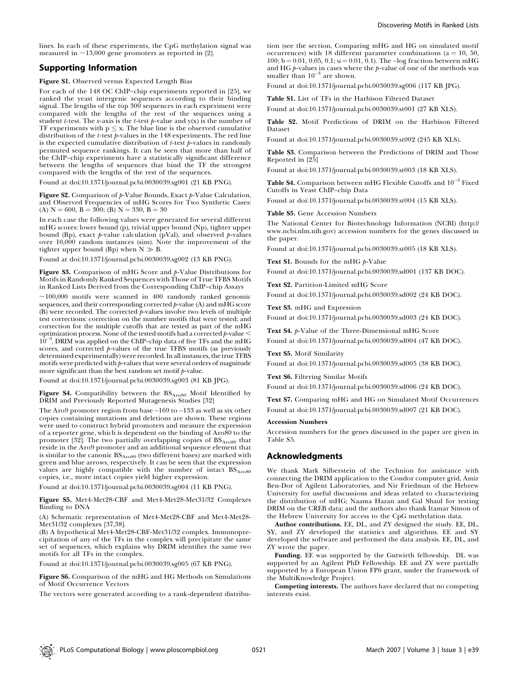lines. In each of these experiments, the CpG methylation signal was measured in  $\sim$ 13,000 gene promoters as reported in [2].

## Supporting Information

#### Figure S1. Observed versus Expected Length Bias

For each of the 148 OC ChIP–chip experiments reported in [25], we ranked the yeast intergenic sequences according to their binding signal. The lengths of the top 300 sequences in each experiment were compared with the lengths of the rest of the sequences using a student *t*-test. The *x*-axis is the *t*-test *p*-value and  $y(x)$  is the number of TF experiments with  $p \leq x.$  The blue line is the observed cumulative distribution of the t-test p-values in the 148 experiments. The red line is the expected cumulative distribution of  $t$ -test  $p$ -values in randomly permuted sequence rankings. It can be seen that more than half of the ChIP–chip experiments have a statistically significant difference between the lengths of sequences that bind the TF the strongest compared with the lengths of the rest of the sequences.

Found at doi:10.1371/journal.pcbi.0030039.sg001 (21 KB PNG).

Figure S2. Comparison of p-Value Bounds, Exact p-Value Calculation, and Observed Frequencies of mHG Scores for Two Synthetic Cases: (A)  $N = 600$ ,  $B = 300$ ; (B)  $N = 330$ ,  $B = 30$ 

In each case the following values were generated for several different mHG scores: lower bound (p), trivial upper bound (Np), tighter upper bound (Bp), exact  $p$ -value calculation (pVal), and observed  $p$ -values over 10,000 random instances (sim). Note the improvement of the tighter upper bound (Bp) when  $N \gg B$ .

Found at doi:10.1371/journal.pcbi.0030039.sg002 (13 KB PNG).

Figure S3. Comparison of mHG Score and p-Value Distributions for Motifs in Randomly Ranked Sequences with Those of True TFBS Motifs in Ranked Lists Derived from the Corresponding ChIP–chip Assays

 $\sim$ 100,000 motifs were scanned in 400 randomly ranked genomic sequences, and their corresponding corrected  $p$ -value (A) and mHG score  $(B)$  were recorded. The corrected  $\hat{p}$ -values involve two levels of multiple test corrections: correction on the number motifs that were tested; and correction for the multiple cutoffs that are tested as part of the mHG optimization process. None of the tested motifs had a corrected  $p$ -value  $\leq$ 10<sup>-3</sup>. DRIM was applied on the ChIP-chip data of five TFs and the mHG scores, and corrected *p*-values of the true TFBS motifs (as previously determined experimentally) were recorded. In all instances, the true TFBS motifs were predicted with  $p$ -values that were several orders of magnitude more significant than the best random set motif  $p$ -value.

Found at doi:10.1371/journal.pcbi.0030039.sg003 (81 KB JPG).

Figure S4. Compatibility between the  $BS<sub>Aro80</sub>$  Motif Identified by DRIM and Previously Reported Mutagenesis Studies [32]

The Aro9 promoter region from base-169 to-133 as well as six other copies containing mutations and deletions are shown. These regions were used to construct hybrid promoters and measure the expression of a reporter gene, which is dependent on the binding of Aro80 to the promoter [32]. The two partially overlapping copies of BSAro80 that reside in the Aro9 promoter and an additional sequence element that is similar to the canonic  $BS<sub>Aros0</sub>$  (two different bases) are marked with green and blue arrows, respectively. It can be seen that the expression values are highly compatible with the number of intact  $BS<sub>Aro80</sub>$ copies, i.e., more intact copies yield higher expression.

Found at doi:10.1371/journal.pcbi.0030039.sg004 (11 KB PNG).

Figure S5. Met4-Met28-CBF and Met4-Met28-Met31/32 Complexes Binding to DNA

(A) Schematic representation of Met4-Met28-CBF and Met4-Met28- Met31/32 complexes [37,38].

(B) A hypothetical Met4-Met28-CBF-Met31/32 complex. Immunoprecipitation of any of the TFs in the complex will precipitate the same set of sequences, which explains why DRIM identifies the same two motifs for all TFs in the complex.

Found at doi:10.1371/journal.pcbi.0030039.sg005 (67 KB PNG).

Figure S6. Comparison of the mHG and HG Methods on Simulations of Motif Occurrence Vectors

The vectors were generated according to a rank-dependent distribu-

tion (see the section, Comparing mHG and HG on simulated motif occurrences) with 18 different parameter combinations ( $a = 10, 50$ , 100;  $b = 0.01, 0.05, 0.1; u = 0.01, 0.1$ ). The  $-\log$  fraction between mHG and HG  $p$ -values in cases where the  $p$ -value of one of the methods was smaller than  $10^{-3}$  are shown.

Found at doi:10.1371/journal.pcbi.0030039.sg006 (117 KB JPG).

Table S1. List of TFs in the Harbison Filtered Dataset

Found at doi:10.1371/journal.pcbi.0030039.st001 (27 KB XLS).

Table S2. Motif Predictions of DRIM on the Harbison Filtered Dataset

Found at doi:10.1371/journal.pcbi.0030039.st002 (245 KB XLS).

Table S3. Comparison between the Predictions of DRIM and Those Reported in [25]

Found at doi:10.1371/journal.pcbi.0030039.st003 (18 KB XLS).

**Table S4.** Comparison between mHG Flexible Cutoffs and  $10^{-3}$  Fixed Cutoffs in Yeast ChIP–chip Data

Found at doi:10.1371/journal.pcbi.0030039.st004 (15 KB XLS).

Table S5. Gene Accession Numbers

The National Center for Biotechnology Information (NCBI) (http:// www.ncbi.nlm.nih.gov) accession numbers for the genes discussed in the paper.

Found at doi:10.1371/journal.pcbi.0030039.st005 (18 KB XLS).

Text S1. Bounds for the mHG  $p$ -Value

Found at doi:10.1371/journal.pcbi.0030039.sd001 (137 KB DOC).

Text S2. Partition-Limited mHG Score

Found at doi:10.1371/journal.pcbi.0030039.sd002 (24 KB DOC).

Text S3. mHG and Expression

Found at doi:10.1371/journal.pcbi.0030039.sd003 (24 KB DOC).

Text S4. p-Value of the Three-Dimensional mHG Score Found at doi:10.1371/journal.pcbi.0030039.sd004 (47 KB DOC).

Text S5. Motif Similarity

Found at doi:10.1371/journal.pcbi.0030039.sd005 (38 KB DOC).

Text S6. Filtering Similar Motifs

Found at doi:10.1371/journal.pcbi.0030039.sd006 (24 KB DOC).

Text S7. Comparing mHG and HG on Simulated Motif Occurrences Found at doi:10.1371/journal.pcbi.0030039.sd007 (21 KB DOC).

#### Accession Numbers

Accession numbers for the genes discussed in the paper are given in Table S5.

## Acknowledgments

We thank Mark Silberstein of the Technion for assistance with connecting the DRIM application to the Condor computer grid, Amir Ben-Dor of Agilent Laboratories, and Nir Friedman of the Hebrew University for useful discussions and ideas related to characterizing the distribution of mHG; Naama Hazan and Gal Shaul for testing DRIM on the CREB data; and the authors also thank Itamar Simon of the Hebrew University for access to the CpG methylation data.

Author contributions. EE, DL, and ZY designed the study. EE, DL, SY, and ZY developed the statistics and algorithms. EE and SY developed the software and performed the data analysis. EE, DL, and ZY wrote the paper.

Funding. EE was supported by the Gutwirth fellowship. DL was supported by an Agilent PhD Fellowship. EE and ZY were partially supported by a European Union FP6 grant, under the framework of the MultiKnowledge Project.

Competing interests. The authors have declared that no competing interests exist.